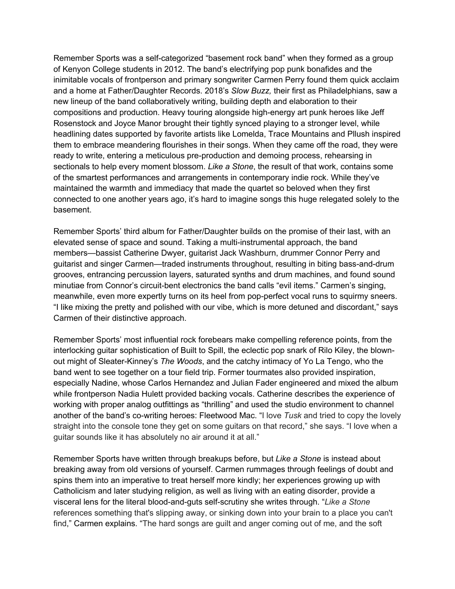Remember Sports was a self-categorized "basement rock band" when they formed as a group of Kenyon College students in 2012. The band's electrifying pop punk bonafides and the inimitable vocals of frontperson and primary songwriter Carmen Perry found them quick acclaim and a home at Father/Daughter Records. 2018's *Slow Buzz,* their first as Philadelphians, saw a new lineup of the band collaboratively writing, building depth and elaboration to their compositions and production. Heavy touring alongside high-energy art punk heroes like Jeff Rosenstock and Joyce Manor brought their tightly synced playing to a stronger level, while headlining dates supported by favorite artists like Lomelda, Trace Mountains and Pllush inspired them to embrace meandering flourishes in their songs. When they came off the road, they were ready to write, entering a meticulous pre-production and demoing process, rehearsing in sectionals to help every moment blossom. *Like a Stone*, the result of that work, contains some of the smartest performances and arrangements in contemporary indie rock. While they've maintained the warmth and immediacy that made the quartet so beloved when they first connected to one another years ago, it's hard to imagine songs this huge relegated solely to the basement.

Remember Sports' third album for Father/Daughter builds on the promise of their last, with an elevated sense of space and sound. Taking a multi-instrumental approach, the band members—bassist Catherine Dwyer, guitarist Jack Washburn, drummer Connor Perry and guitarist and singer Carmen—traded instruments throughout, resulting in biting bass-and-drum grooves, entrancing percussion layers, saturated synths and drum machines, and found sound minutiae from Connor's circuit-bent electronics the band calls "evil items." Carmen's singing, meanwhile, even more expertly turns on its heel from pop-perfect vocal runs to squirmy sneers. "I like mixing the pretty and polished with our vibe, which is more detuned and discordant," says Carmen of their distinctive approach.

Remember Sports' most influential rock forebears make compelling reference points, from the interlocking guitar sophistication of Built to Spill, the eclectic pop snark of Rilo Kiley, the blownout might of Sleater-Kinney's *The Woods*, and the catchy intimacy of Yo La Tengo, who the band went to see together on a tour field trip. Former tourmates also provided inspiration, especially Nadine, whose Carlos Hernandez and Julian Fader engineered and mixed the album while frontperson Nadia Hulett provided backing vocals. Catherine describes the experience of working with proper analog outfittings as "thrilling" and used the studio environment to channel another of the band's co-writing heroes: Fleetwood Mac. "I love *Tusk* and tried to copy the lovely straight into the console tone they get on some guitars on that record," she says. "I love when a guitar sounds like it has absolutely no air around it at all."

Remember Sports have written through breakups before, but *Like a Stone* is instead about breaking away from old versions of yourself. Carmen rummages through feelings of doubt and spins them into an imperative to treat herself more kindly; her experiences growing up with Catholicism and later studying religion, as well as living with an eating disorder, provide a visceral lens for the literal blood-and-guts self-scrutiny she writes through. "*Like a Stone* references something that's slipping away, or sinking down into your brain to a place you can't find," Carmen explains. "The hard songs are guilt and anger coming out of me, and the soft